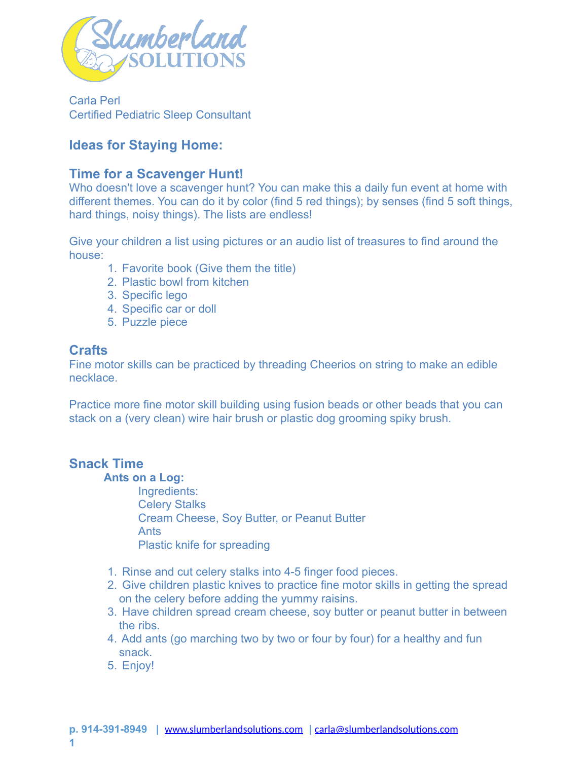

Carla Perl Certified Pediatric Sleep Consultant

# **Ideas for Staying Home:**

# **Time for a Scavenger Hunt!**

Who doesn't love a scavenger hunt? You can make this a daily fun event at home with different themes. You can do it by color (find 5 red things); by senses (find 5 soft things, hard things, noisy things). The lists are endless!

Give your children a list using pictures or an audio list of treasures to find around the house:

- 1. Favorite book (Give them the title)
- 2. Plastic bowl from kitchen
- 3. Specific lego
- 4. Specific car or doll
- 5. Puzzle piece

## **Crafts**

Fine motor skills can be practiced by threading Cheerios on string to make an edible necklace.

Practice more fine motor skill building using fusion beads or other beads that you can stack on a (very clean) wire hair brush or plastic dog grooming spiky brush.

## **Snack Time**

#### **Ants on a Log:**

Ingredients: Celery Stalks Cream Cheese, Soy Butter, or Peanut Butter Ants Plastic knife for spreading

- 1. Rinse and cut celery stalks into 4-5 finger food pieces.
- 2. Give children plastic knives to practice fine motor skills in getting the spread on the celery before adding the yummy raisins.
- 3. Have children spread cream cheese, soy butter or peanut butter in between the ribs.
- 4. Add ants (go marching two by two or four by four) for a healthy and fun snack.
- 5. Enjoy!